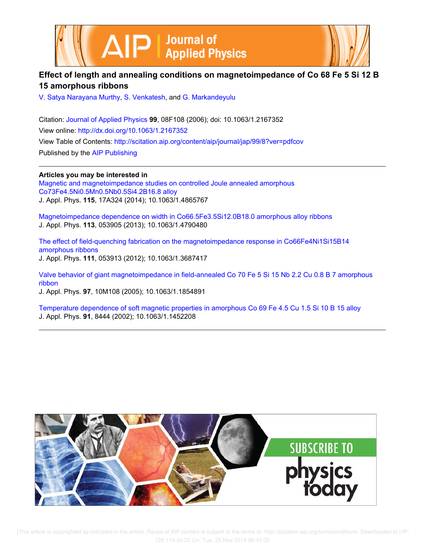



# **Effect of length and annealing conditions on magnetoimpedance of Co 68 Fe 5 Si 12 B 15 amorphous ribbons**

V. Satya Narayana Murthy, S. Venkatesh, and G. Markandeyulu

Citation: Journal of Applied Physics **99**, 08F108 (2006); doi: 10.1063/1.2167352 View online: http://dx.doi.org/10.1063/1.2167352 View Table of Contents: http://scitation.aip.org/content/aip/journal/jap/99/8?ver=pdfcov Published by the AIP Publishing

**Articles you may be interested in** Magnetic and magnetoimpedance studies on controlled Joule annealed amorphous Co73Fe4.5Ni0.5Mn0.5Nb0.5Si4.2B16.8 alloy J. Appl. Phys. **115**, 17A324 (2014); 10.1063/1.4865767

Magnetoimpedance dependence on width in Co66.5Fe3.5Si12.0B18.0 amorphous alloy ribbons J. Appl. Phys. **113**, 053905 (2013); 10.1063/1.4790480

The effect of field-quenching fabrication on the magnetoimpedance response in Co66Fe4Ni1Si15B14 amorphous ribbons J. Appl. Phys. **111**, 053913 (2012); 10.1063/1.3687417

Valve behavior of giant magnetoimpedance in field-annealed Co 70 Fe 5 Si 15 Nb 2.2 Cu 0.8 B 7 amorphous ribbon

J. Appl. Phys. **97**, 10M108 (2005); 10.1063/1.1854891

Temperature dependence of soft magnetic properties in amorphous Co 69 Fe 4.5 Cu 1.5 Si 10 B 15 alloy J. Appl. Phys. **91**, 8444 (2002); 10.1063/1.1452208

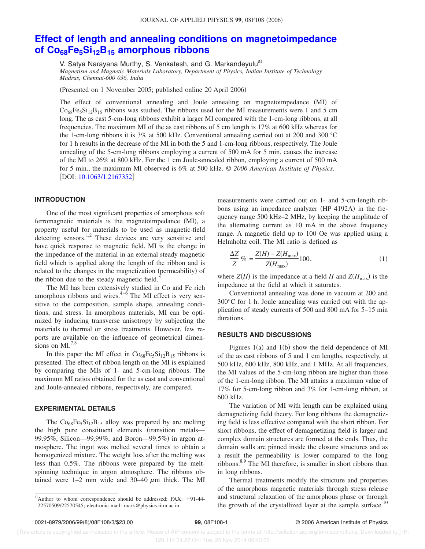# **Effect of length and annealing conditions on magnetoimpedance of Co68Fe5Si12B<sup>15</sup> amorphous ribbons**

V. Satya Narayana Murthy, S. Venkatesh, and G. Markandeyulu<sup>a)</sup>

*Magnetism and Magnetic Materials Laboratory, Department of Physics, Indian Institute of Technology Madras, Chennai-600 036, India*

(Presented on 1 November 2005; published online 20 April 2006)

The effect of conventional annealing and Joule annealing on magnetoimpedance (MI) of  $Co<sub>68</sub>Fe<sub>5</sub>Si<sub>12</sub>B<sub>15</sub>$  ribbons was studied. The ribbons used for the MI measurements were 1 and 5 cm long. The as cast 5-cm-long ribbons exhibit a larger MI compared with the 1-cm-long ribbons, at all frequencies. The maximum MI of the as cast ribbons of 5 cm length is 17% at 600 kHz whereas for the 1-cm-long ribbons it is 3% at 500 kHz. Conventional annealing carried out at 200 and 300 °C for 1 h results in the decrease of the MI in both the 5 and 1-cm-long ribbons, respectively. The Joule annealing of the 5-cm-long ribbons employing a current of 500 mA for 5 min. causes the increase of the MI to 26% at 800 kHz. For the 1 cm Joule-annealed ribbon, employing a current of 500 mA for 5 min., the maximum MI observed is 6% at 500 kHz. © *2006 American Institute of Physics*. [DOI: 10.1063/1.2167352]

### **INTRODUCTION**

One of the most significant properties of amorphous soft ferromagnetic materials is the magnetoimpedance (MI), a property useful for materials to be used as magnetic-field detecting sensors.<sup>1,2</sup> These devices are very sensitive and have quick response to magnetic field. MI is the change in the impedance of the material in an external steady magnetic field which is applied along the length of the ribbon and is related to the changes in the magnetization (permeability) of the ribbon due to the steady magnetic field.<sup>3</sup>

The MI has been extensively studied in Co and Fe rich amorphous ribbons and wires. $4-\dot{6}$  The MI effect is very sensitive to the composition, sample shape, annealing conditions, and stress. In amorphous materials, MI can be optimized by inducing transverse anisotropy by subjecting the materials to thermal or stress treatments. However, few reports are available on the influence of geometrical dimensions on  $MI^{7,8}$ 

In this paper the MI effect in  $Co_{68}Fe_5Si_{12}B_{15}$  ribbons is presented. The effect of ribbon length on the MI is explained by comparing the MIs of 1- and 5-cm-long ribbons. The maximum MI ratios obtained for the as cast and conventional and Joule-annealed ribbons, respectively, are compared.

# **EXPERIMENTAL DETAILS**

The  $Co_{68}Fe_5Si_{12}B_{15}$  alloy was prepared by arc melting the high pure constituent elements (transition metals-99.95%, Silicon-99.99%, and Boron-99.5%) in argon atmosphere. The ingot was melted several times to obtain a homogenized mixture. The weight loss after the melting was less than 0.5%. The ribbons were prepared by the meltspinning technique in argon atmosphere. The ribbons obtained were 1–2 mm wide and 30–40  $\mu$ m thick. The MI measurements were carried out on 1- and 5-cm-length ribbons using an impedance analyzer (HP 4192A) in the frequency range 500 kHz–2 MHz, by keeping the amplitude of the alternating current as 10 mA in the above frequency range. A magnetic field up to 100 Oe was applied using a Helmholtz coil. The MI ratio is defined as

$$
\frac{\Delta Z}{Z} \% = \frac{Z(H) - Z(H_{\text{max}})}{Z(H_{\text{max}})} 100,\tag{1}
$$

where  $Z(H)$  is the impedance at a field *H* and  $Z(H_{\text{max}})$  is the impedance at the field at which it saturates.

Conventional annealing was done in vacuum at 200 and 300°C for 1 h. Joule annealing was carried out with the application of steady currents of 500 and 800 mA for 5–15 min durations.

## **RESULTS AND DISCUSSIONS**

Figures  $1(a)$  and  $1(b)$  show the field dependence of MI of the as cast ribbons of 5 and 1 cm lengths, respectively, at 500 kHz, 600 kHz, 800 kHz, and 1 MHz. At all frequencies, the MI values of the 5-cm-long ribbon are higher than those of the 1-cm-long ribbon. The MI attains a maximum value of 17% for 5-cm-long ribbon and 3% for 1-cm-long ribbon, at 600 kHz.

The variation of MI with length can be explained using demagnetizing field theory. For long ribbons the demagnetizing field is less effective compared with the short ribbon. For short ribbons, the effect of demagnetizing field is larger and complex domain structures are formed at the ends. Thus, the domain walls are pinned inside the closure structures and as a result the permeability is lower compared to the long ribbons.<sup>8,9</sup> The MI therefore, is smaller in short ribbons than in long ribbons.

Thermal treatments modify the structure and properties of the amorphous magnetic materials through stress release and structural relaxation of the amorphous phase or through the growth of the crystallized layer at the sample surface.<sup>10</sup>

a)Author to whom correspondence should be addressed; FAX:  $+91-44-$ 22570509/22570545; electronic mail: mark@physics.iitm.ac.in

 <sup>[</sup>This article is copyrighted as indicated in the article. Reuse of AIP content is subject to the terms at: http://scitation.aip.org/termsconditions. Downloaded to ] IP: 128.114.34.22 On: Tue, 25 Nov 2014 06:43:32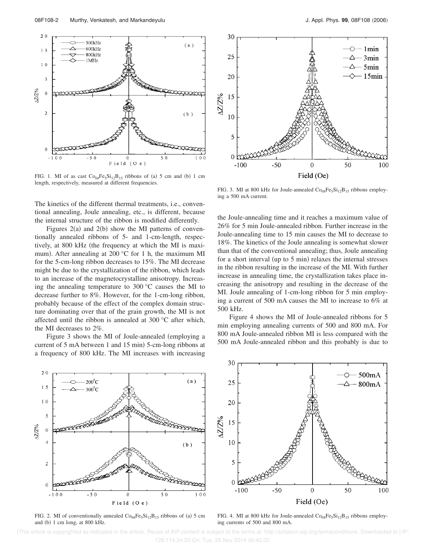

FIG. 1. MI of as cast  $Co_{68}Fe_5Si_{12}B_{15}$  ribbons of (a) 5 cm and (b) 1 cm length, respectively, measured at different frequencies.

The kinetics of the different thermal treatments, i.e., conventional annealing, Joule annealing, etc., is different, because the internal structure of the ribbon is modified differently.

Figures  $2(a)$  and  $2(b)$  show the MI patterns of conventionally annealed ribbons of 5- and 1-cm-length, respectively, at 800 kHz (the frequency at which the MI is maximum). After annealing at 200  $^{\circ}$ C for 1 h, the maximum MI for the 5-cm-long ribbon decreases to 15%. The MI decrease might be due to the crystallization of the ribbon, which leads to an increase of the magnetocrystalline anisotropy. Increasing the annealing temperature to 300 °C causes the MI to decrease further to 8%. However, for the 1-cm-long ribbon, probably because of the effect of the complex domain structure dominating over that of the grain growth, the MI is not affected until the ribbon is annealed at 300 °C after which, the MI decreases to 2%.

Figure 3 shows the MI of Joule-annealed (employing a current of  $5 \text{ mA}$  between 1 and  $15 \text{ min}$ )  $5$ -cm-long ribbons at a frequency of 800 kHz. The MI increases with increasing



FIG. 3. MI at 800 kHz for Joule-annealed  $\text{Co}_{68}\text{Fe}_5\text{Si}_{12}\text{B}_{15}$  ribbons employing a 500 mA current.

the Joule-annealing time and it reaches a maximum value of 26% for 5 min Joule-annealed ribbon. Further increase in the Joule-annealing time to 15 min causes the MI to decrease to 18%. The kinetics of the Joule annealing is somewhat slower than that of the conventional annealing; thus, Joule annealing for a short interval (up to 5 min) relaxes the internal stresses in the ribbon resulting in the increase of the MI. With further increase in annealing time, the crystallization takes place increasing the anisotropy and resulting in the decrease of the MI. Joule annealing of 1-cm-long ribbon for 5 min employing a current of 500 mA causes the MI to increase to 6% at 500 kHz.

Figure 4 shows the MI of Joule-annealed ribbons for 5 min employing annealing currents of 500 and 800 mA. For 800 mA Joule-annealed ribbon MI is less compared with the 500 mA Joule-annealed ribbon and this probably is due to



FIG. 2. MI of conventionally annealed  $Co_{68}Fe_5Si_{12}B_{15}$  ribbons of (a) 5 cm and (b) 1 cm long, at 800 kHz.



FIG. 4. MI at 800 kHz for Joule-annealed  $\text{Co}_{68}\text{Fe}_{5}\text{Si}_{12}\text{B}_{15}$  ribbons employing currents of 500 and 800 mA.

 [This article is copyrighted as indicated in the article. Reuse of AIP content is subject to the terms at: http://scitation.aip.org/termsconditions. Downloaded to ] IP: 128.114.34.22 On: Tue, 25 Nov 2014 06:43:32